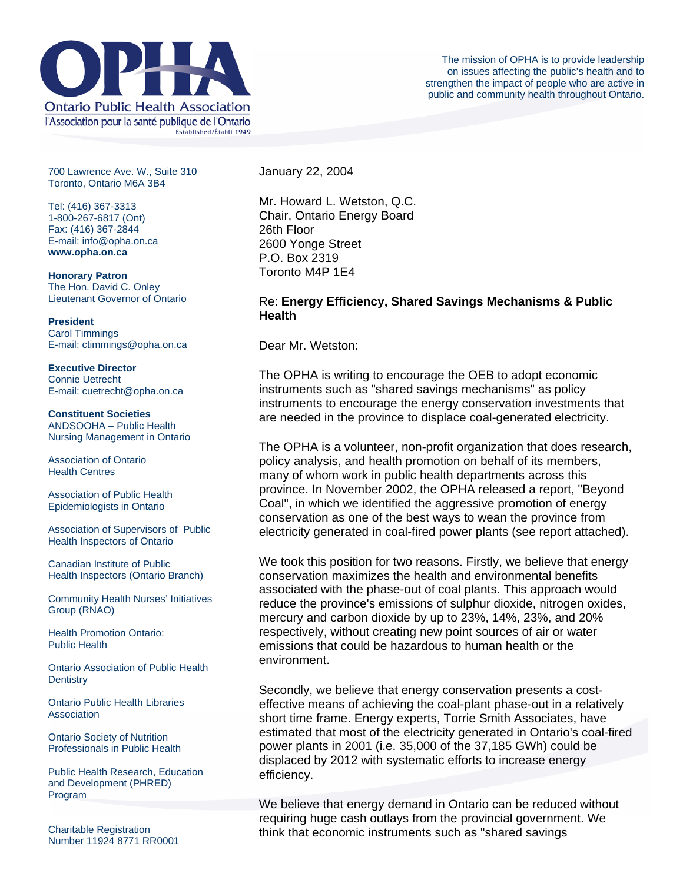

700 Lawrence Ave. W., Suite 310 Toronto, Ontario M6A 3B4

Tel: (416) 367-3313 1-800-267-6817 (Ont) Fax: (416) 367-2844 E-mail: info@opha.on.ca **www.opha.on.ca** 

**Honorary Patron**  The Hon. David C. Onley Lieutenant Governor of Ontario

**President**  Carol Timmings E-mail: ctimmings@opha.on.ca

**Executive Director**  Connie Uetrecht E-mail: cuetrecht@opha.on.ca

**Constituent Societies**  ANDSOOHA – Public Health Nursing Management in Ontario

Association of Ontario Health Centres

Association of Public Health Epidemiologists in Ontario

Association of Supervisors of Public Health Inspectors of Ontario

Canadian Institute of Public Health Inspectors (Ontario Branch)

Community Health Nurses' Initiatives Group (RNAO)

Health Promotion Ontario: Public Health

Ontario Association of Public Health **Dentistry** 

Ontario Public Health Libraries **Association** 

Ontario Society of Nutrition Professionals in Public Health

Public Health Research, Education and Development (PHRED) Program

Charitable Registration Number 11924 8771 RR0001 January 22, 2004

Mr. Howard L. Wetston, Q.C. Chair, Ontario Energy Board 26th Floor 2600 Yonge Street P.O. Box 2319 Toronto M4P 1E4

## Re: **Energy Efficiency, Shared Savings Mechanisms & Public Health**

Dear Mr. Wetston:

The OPHA is writing to encourage the OEB to adopt economic instruments such as "shared savings mechanisms" as policy instruments to encourage the energy conservation investments that are needed in the province to displace coal-generated electricity.

The OPHA is a volunteer, non-profit organization that does research, policy analysis, and health promotion on behalf of its members, many of whom work in public health departments across this province. In November 2002, the OPHA released a report, "Beyond Coal", in which we identified the aggressive promotion of energy conservation as one of the best ways to wean the province from electricity generated in coal-fired power plants (see report attached).

We took this position for two reasons. Firstly, we believe that energy conservation maximizes the health and environmental benefits associated with the phase-out of coal plants. This approach would reduce the province's emissions of sulphur dioxide, nitrogen oxides, mercury and carbon dioxide by up to 23%, 14%, 23%, and 20% respectively, without creating new point sources of air or water emissions that could be hazardous to human health or the environment.

Secondly, we believe that energy conservation presents a costeffective means of achieving the coal-plant phase-out in a relatively short time frame. Energy experts, Torrie Smith Associates, have estimated that most of the electricity generated in Ontario's coal-fired power plants in 2001 (i.e. 35,000 of the 37,185 GWh) could be displaced by 2012 with systematic efforts to increase energy efficiency.

We believe that energy demand in Ontario can be reduced without requiring huge cash outlays from the provincial government. We think that economic instruments such as "shared savings